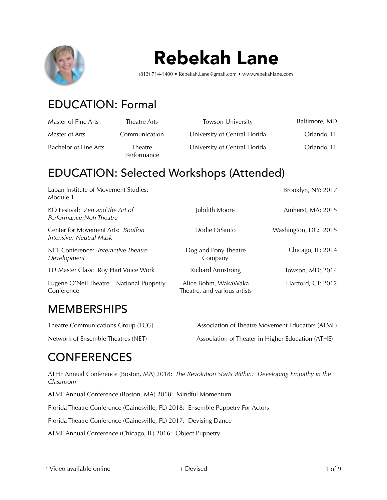

# Rebekah Lane

(813) 714-1400 • Rebekah.Lane@gmail.com • www.rebekahlane.com

# EDUCATION: Formal

| Master of Fine Arts   | Theatre Arts                  | <b>Towson University</b>      | Baltimore, MD |
|-----------------------|-------------------------------|-------------------------------|---------------|
| Master of Arts        | Communication                 | University of Central Florida | Orlando, FL   |
| Bachelor of Fine Arts | <b>Theatre</b><br>Performance | University of Central Florida | Orlando, FL   |

#### EDUCATION: Selected Workshops (Attended)

| Eugene O'Neil Theatre – National Puppetry<br>Conference      | Alice Bohm, WakaWaka<br>Theatre, and various artists | Hartford, CT: 2012   |
|--------------------------------------------------------------|------------------------------------------------------|----------------------|
| TU Master Class: Roy Hart Voice Work                         | <b>Richard Armstrong</b>                             | Towson, MD: 2014     |
| NET Conference: Interactive Theatre<br>Development           | Dog and Pony Theatre<br>Company                      | Chicago, IL: 2014    |
| Center for Movement Arts: Bouffon<br>Intensive; Neutral Mask | Dodie DiSanto                                        | Washington, DC: 2015 |
| KO Festival: Zen and the Art of<br>Performance: Noh Theatre  | Jubilith Moore                                       | Amherst, MA: 2015    |
| Laban Institute of Movement Studies:<br>Module 1             |                                                      | Brooklyn, NY: 2017   |

#### **MEMBERSHIPS**

Theatre Communications Group (TCG) Association of Theatre Movement Educators (ATME) Network of Ensemble Theatres (NET) Association of Theater in Higher Education (ATHE)

# **CONFERENCES**

ATHE Annual Conference (Boston, MA) 2018: *The Revolution Starts Within: Developing Empathy in the Classroom* 

ATME Annual Conference (Boston, MA) 2018: Mindful Momentum

Florida Theatre Conference (Gainesville, FL) 2018: Ensemble Puppetry For Actors

Florida Theatre Conference (Gainesville, FL) 2017: Devising Dance

ATME Annual Conference (Chicago, IL) 2016: Object Puppetry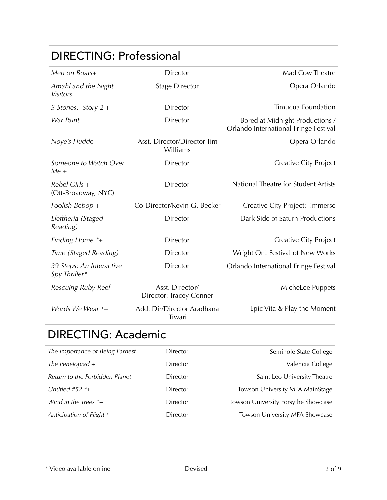# DIRECTING: Professional

| Men on Boats+                             | Director                                   | Mad Cow Theatre                                                          |
|-------------------------------------------|--------------------------------------------|--------------------------------------------------------------------------|
| Amahl and the Night<br><b>Visitors</b>    | <b>Stage Director</b>                      | Opera Orlando                                                            |
| 3 Stories: Story 2 +                      | Director                                   | Timucua Foundation                                                       |
| War Paint                                 | Director                                   | Bored at Midnight Productions /<br>Orlando International Fringe Festival |
| Noye's Fludde                             | Asst. Director/Director Tim<br>Williams    | Opera Orlando                                                            |
| Someone to Watch Over<br>Me +             | Director                                   | <b>Creative City Project</b>                                             |
| Rebel Girls +<br>(Off-Broadway, NYC)      | Director                                   | National Theatre for Student Artists                                     |
| Foolish Bebop +                           | Co-Director/Kevin G. Becker                | Creative City Project: Immerse                                           |
| Eleftheria (Staged<br>Reading)            | Director                                   | Dark Side of Saturn Productions                                          |
| Finding Home *+                           | Director                                   | <b>Creative City Project</b>                                             |
| Time (Staged Reading)                     | Director                                   | Wright On! Festival of New Works                                         |
| 39 Steps: An Interactive<br>Spy Thriller* | Director                                   | Orlando International Fringe Festival                                    |
| Rescuing Ruby Reef                        | Asst. Director/<br>Director: Tracey Conner | MicheLee Puppets                                                         |
| Words We Wear *+                          | Add. Dir/Director Aradhana<br>Tiwari       | Epic Vita & Play the Moment                                              |

# DIRECTING: Academic

| The Importance of Being Earnest | Director | Seminole State College              |
|---------------------------------|----------|-------------------------------------|
| The Penelopiad $+$              | Director | Valencia College                    |
| Return to the Forbidden Planet  | Director | Saint Leo University Theatre        |
| Untitled #52 $*$ +              | Director | Towson University MFA MainStage     |
| Wind in the Trees $*$ +         | Director | Towson University Forsythe Showcase |
| Anticipation of Flight $*$ +    | Director | Towson University MFA Showcase      |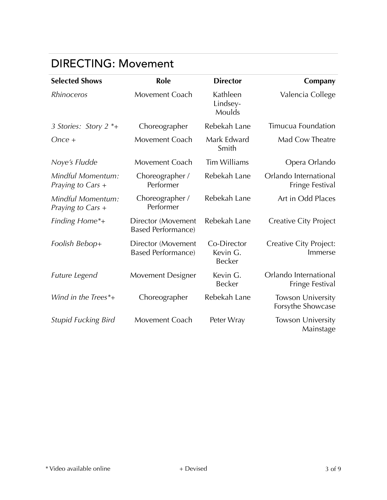#### DIRECTING: Movement

| <b>Selected Shows</b>                  | <b>Role</b>                                     | <b>Director</b>                          | Company                                       |
|----------------------------------------|-------------------------------------------------|------------------------------------------|-----------------------------------------------|
| <b>Rhinoceros</b>                      | Movement Coach                                  | Kathleen<br>Lindsey-<br>Moulds           | Valencia College                              |
| 3 Stories: Story 2 *+                  | Choreographer                                   | Rebekah Lane                             | Timucua Foundation                            |
| $Once +$                               | Movement Coach                                  | Mark Edward<br>Smith                     | Mad Cow Theatre                               |
| Noye's Fludde                          | Movement Coach                                  | <b>Tim Williams</b>                      | Opera Orlando                                 |
| Mindful Momentum:<br>Praying to Cars + | Choreographer /<br>Performer                    | Rebekah Lane                             | Orlando International<br>Fringe Festival      |
| Mindful Momentum:<br>Praying to Cars + | Choreographer /<br>Performer                    | Rebekah Lane                             | Art in Odd Places                             |
| Finding Home*+                         | Director (Movement<br><b>Based Performance)</b> | Rebekah Lane                             | <b>Creative City Project</b>                  |
| Foolish Bebop+                         | Director (Movement<br><b>Based Performance)</b> | Co-Director<br>Kevin G.<br><b>Becker</b> | Creative City Project:<br>Immerse             |
| Future Legend                          | <b>Movement Designer</b>                        | Kevin G.<br><b>Becker</b>                | Orlando International<br>Fringe Festival      |
| Wind in the Trees*+                    | Choreographer                                   | Rebekah Lane                             | <b>Towson University</b><br>Forsythe Showcase |
| <b>Stupid Fucking Bird</b>             | Movement Coach                                  | Peter Wray                               | <b>Towson University</b><br>Mainstage         |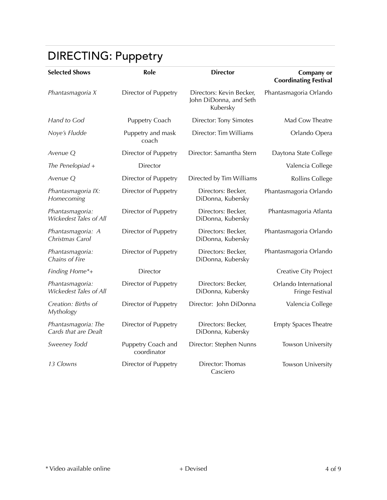# DIRECTING: Puppetry

| <b>Selected Shows</b>                       | Role                              | <b>Director</b>                                                | Company or<br><b>Coordinating Festival</b> |
|---------------------------------------------|-----------------------------------|----------------------------------------------------------------|--------------------------------------------|
| Phantasmagoria X                            | Director of Puppetry              | Directors: Kevin Becker,<br>John DiDonna, and Seth<br>Kubersky | Phantasmagoria Orlando                     |
| Hand to God                                 | Puppetry Coach                    | <b>Director: Tony Simotes</b>                                  | Mad Cow Theatre                            |
| Noye's Fludde                               | Puppetry and mask<br>coach        | Director: Tim Williams                                         | Orlando Opera                              |
| Avenue O                                    | Director of Puppetry              | Director: Samantha Stern                                       | Daytona State College                      |
| The Penelopiad +                            | Director                          |                                                                | Valencia College                           |
| Avenue Q                                    | Director of Puppetry              | Directed by Tim Williams                                       | Rollins College                            |
| Phantasmagoria IX:<br>Homecoming            | Director of Puppetry              | Directors: Becker,<br>DiDonna, Kubersky                        | Phantasmagoria Orlando                     |
| Phantasmagoria:<br>Wickedest Tales of All   | Director of Puppetry              | Directors: Becker,<br>DiDonna, Kubersky                        | Phantasmagoria Atlanta                     |
| Phantasmagoria: A<br>Christmas Carol        | Director of Puppetry              | Directors: Becker,<br>DiDonna, Kubersky                        | Phantasmagoria Orlando                     |
| Phantasmagoria:<br>Chains of Fire           | Director of Puppetry              | Directors: Becker,<br>DiDonna, Kubersky                        | Phantasmagoria Orlando                     |
| Finding Home*+                              | Director                          |                                                                | Creative City Project                      |
| Phantasmagoria:<br>Wickedest Tales of All   | Director of Puppetry              | Directors: Becker,<br>DiDonna, Kubersky                        | Orlando International<br>Fringe Festival   |
| Creation: Births of<br>Mythology            | Director of Puppetry              | Director: John DiDonna                                         | Valencia College                           |
| Phantasmagoria: The<br>Cards that are Dealt | Director of Puppetry              | Directors: Becker,<br>DiDonna, Kubersky                        | <b>Empty Spaces Theatre</b>                |
| Sweeney Todd                                | Puppetry Coach and<br>coordinator | Director: Stephen Nunns                                        | Towson University                          |
| 13 Clowns                                   | Director of Puppetry              | Director: Thomas<br>Casciero                                   | Towson University                          |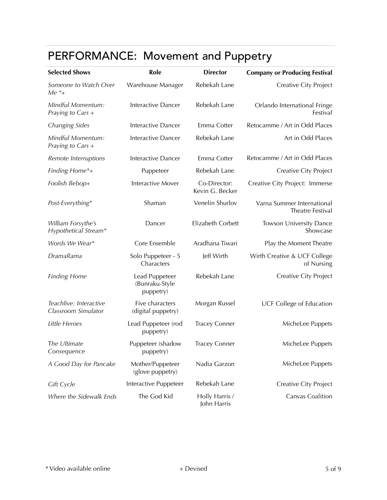# PERFORMANCE: Movement and Puppetry

| <b>Selected Shows</b>                         | Role                                          | <b>Director</b>                 | <b>Company or Producing Festival</b>           |
|-----------------------------------------------|-----------------------------------------------|---------------------------------|------------------------------------------------|
| Someone to Watch Over<br>$Me$ $*$ +           | Warehouse Manager                             | Rebekah Lane                    | <b>Creative City Project</b>                   |
| Mindful Momentum:<br>Praying to Cars +        | Interactive Dancer                            | Rebekah Lane                    | Orlando International Fringe<br>Festival       |
| Changing Sides                                | <b>Interactive Dancer</b>                     | Emma Cotter                     | Retocamme / Art in Odd Places                  |
| Mindful Momentum:<br>Praying to Cars +        | Interactive Dancer                            | Rebekah Lane                    | Art in Odd Places                              |
| Remote Interruptions                          | Interactive Dancer                            | Emma Cotter                     | Retocamme / Art in Odd Places                  |
| Finding Home*+                                | Puppeteer                                     | Rebekah Lane                    | Creative City Project                          |
| Foolish Bebop+                                | <b>Interactive Mover</b>                      | Co-Director:<br>Kevin G. Becker | Creative City Project: Immerse                 |
| Post-Everything*                              | Shaman                                        | Venelin Shurlov                 | Varna Summer International<br>Theatre Festival |
| William Forsythe's<br>Hypothetical Stream*    | Dancer                                        | Elizabeth Corbett               | <b>Towson University Dance</b><br>Showcase     |
| Words We Wear*                                | Core Ensemble                                 | Aradhana Tiwari                 | Play the Moment Theatre                        |
| <b>DramaRama</b>                              | Solo Puppeteer - 5<br>Characters              | Jeff Wirth                      | Wirth Creative & UCF College<br>of Nursing     |
| <b>Finding Home</b>                           | Lead Puppeteer<br>(Bunraku-Style<br>puppetry) | Rebekah Lane                    | Creative City Project                          |
| Teachlive: Interactive<br>Classroom Simulator | Five characters<br>(digital puppetry)         | Morgan Russel                   | <b>UCF College of Education</b>                |
| Little Heroes                                 | Lead Puppeteer (rod<br>puppetry)              | <b>Tracey Conner</b>            | MicheLee Puppets                               |
| The Ultimate<br>Consequence                   | Puppeteer (shadow<br>puppetry)                | <b>Tracey Conner</b>            | MicheLee Puppets                               |
| A Good Day for Pancake                        | Mother/Puppeteer<br>(glove puppetry)          | Nadia Garzon                    | MicheLee Puppets                               |
| <b>Gift Cycle</b>                             | Interactive Puppeteer                         | Rebekah Lane                    | Creative City Project                          |
| Where the Sidewalk Ends                       | The God Kid                                   | Holly Harris /<br>John Harris   | Canvas Coalition                               |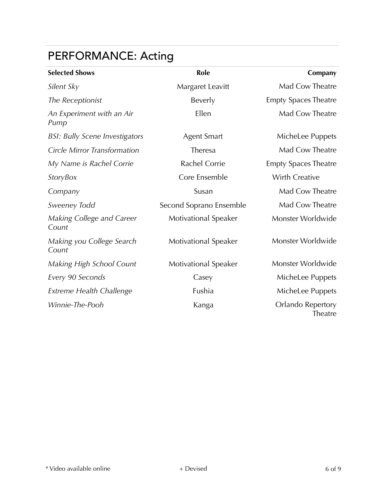# PERFORMANCE: Acting

| <b>Selected Shows</b>                 | Role                        | Company                      |
|---------------------------------------|-----------------------------|------------------------------|
| Silent Sky                            | Margaret Leavitt            | Mad Cow Theatre              |
| The Receptionist                      | Beverly                     | <b>Empty Spaces Theatre</b>  |
| An Experiment with an Air<br>Pump     | Ellen                       | Mad Cow Theatre              |
| <b>BSI: Bully Scene Investigators</b> | <b>Agent Smart</b>          | MicheLee Puppets             |
| <b>Circle Mirror Transformation</b>   | Theresa                     | Mad Cow Theatre              |
| My Name is Rachel Corrie              | Rachel Corrie               | <b>Empty Spaces Theatre</b>  |
| <b>StoryBox</b>                       | Core Ensemble               | Wirth Creative               |
| Company                               | Susan                       | Mad Cow Theatre              |
| Sweeney Todd                          | Second Soprano Ensemble     | Mad Cow Theatre              |
| Making College and Career<br>Count    | <b>Motivational Speaker</b> | Monster Worldwide            |
| Making you College Search<br>Count    | <b>Motivational Speaker</b> | Monster Worldwide            |
| Making High School Count              | <b>Motivational Speaker</b> | Monster Worldwide            |
| Every 90 Seconds                      | Casey                       | MicheLee Puppets             |
| <b>Extreme Health Challenge</b>       | Fushia                      | MicheLee Puppets             |
| Winnie-The-Pooh                       | Kanga                       | Orlando Repertory<br>Theatre |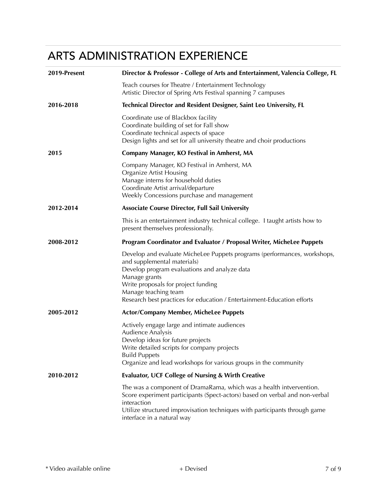# ARTS ADMINISTRATION EXPERIENCE

| 2019-Present | Director & Professor - College of Arts and Entertainment, Valencia College, FL                                                                                                                                                                                                                                     |
|--------------|--------------------------------------------------------------------------------------------------------------------------------------------------------------------------------------------------------------------------------------------------------------------------------------------------------------------|
|              | Teach courses for Theatre / Entertainment Technology<br>Artistic Director of Spring Arts Festival spanning 7 campuses                                                                                                                                                                                              |
| 2016-2018    | Technical Director and Resident Designer, Saint Leo University, FL                                                                                                                                                                                                                                                 |
|              | Coordinate use of Blackbox facility<br>Coordinate building of set for Fall show<br>Coordinate technical aspects of space<br>Design lights and set for all university theatre and choir productions                                                                                                                 |
| 2015         | Company Manager, KO Festival in Amherst, MA                                                                                                                                                                                                                                                                        |
|              | Company Manager, KO Festival in Amherst, MA<br><b>Organize Artist Housing</b><br>Manage interns for household duties<br>Coordinate Artist arrival/departure<br>Weekly Concessions purchase and management                                                                                                          |
| 2012-2014    | <b>Associate Course Director, Full Sail University</b>                                                                                                                                                                                                                                                             |
|              | This is an entertainment industry technical college. I taught artists how to<br>present themselves professionally.                                                                                                                                                                                                 |
| 2008-2012    | <b>Program Coordinator and Evaluator / Proposal Writer, MicheLee Puppets</b>                                                                                                                                                                                                                                       |
|              | Develop and evaluate MicheLee Puppets programs (performances, workshops,<br>and supplemental materials)<br>Develop program evaluations and analyze data<br>Manage grants<br>Write proposals for project funding<br>Manage teaching team<br>Research best practices for education / Entertainment-Education efforts |
| 2005-2012    | <b>Actor/Company Member, MicheLee Puppets</b>                                                                                                                                                                                                                                                                      |
|              | Actively engage large and intimate audiences<br>Audience Analysis<br>Develop ideas for future projects<br>Write detailed scripts for company projects<br><b>Build Puppets</b><br>Organize and lead workshops for various groups in the community                                                                   |
| 2010-2012    | <b>Evaluator, UCF College of Nursing &amp; Wirth Creative</b>                                                                                                                                                                                                                                                      |
|              | The was a component of DramaRama, which was a health intvervention.<br>Score experiment participants (Spect-actors) based on verbal and non-verbal<br>interaction<br>Utilize structured improvisation techniques with participants through game<br>interface in a natural way                                      |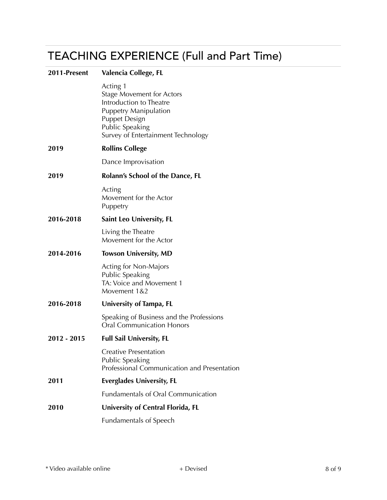### TEACHING EXPERIENCE (Full and Part Time)

| 2011-Present | Valencia College, FL                                                                                                                                                                            |
|--------------|-------------------------------------------------------------------------------------------------------------------------------------------------------------------------------------------------|
|              | Acting 1<br><b>Stage Movement for Actors</b><br>Introduction to Theatre<br><b>Puppetry Manipulation</b><br><b>Puppet Design</b><br><b>Public Speaking</b><br>Survey of Entertainment Technology |
| 2019         | <b>Rollins College</b>                                                                                                                                                                          |
|              | Dance Improvisation                                                                                                                                                                             |
| 2019         | Rolann's School of the Dance, FL                                                                                                                                                                |
|              | Acting<br>Movement for the Actor<br>Puppetry                                                                                                                                                    |
| 2016-2018    | Saint Leo University, FL                                                                                                                                                                        |
|              | Living the Theatre<br>Movement for the Actor                                                                                                                                                    |
| 2014-2016    | <b>Towson University, MD</b>                                                                                                                                                                    |
|              | Acting for Non-Majors<br>Public Speaking<br>TA: Voice and Movement 1<br>Movement 1&2                                                                                                            |
| 2016-2018    | University of Tampa, FL                                                                                                                                                                         |
|              | Speaking of Business and the Professions<br><b>Oral Communication Honors</b>                                                                                                                    |
| 2012 - 2015  | <b>Full Sail University, FL</b>                                                                                                                                                                 |
|              | Creative Presentation<br>Public Speaking<br>Professional Communication and Presentation                                                                                                         |
| 2011         | <b>Everglades University, FL</b>                                                                                                                                                                |
|              | <b>Fundamentals of Oral Communication</b>                                                                                                                                                       |
| 2010         | University of Central Florida, FL                                                                                                                                                               |
|              | <b>Fundamentals of Speech</b>                                                                                                                                                                   |